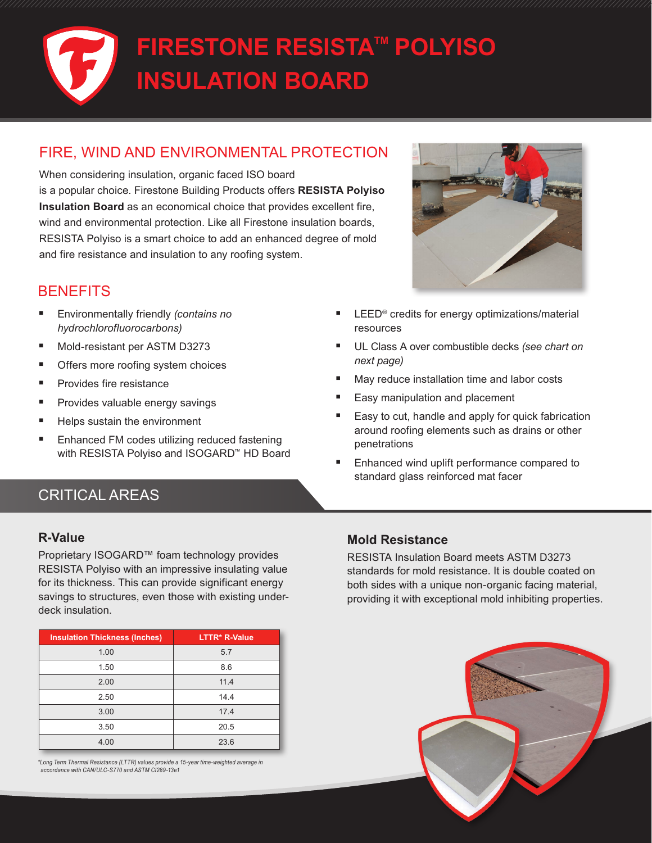# **FIRESTONE RESISTA™ POLYISO INSULATION BOARD**

# FIRE, WIND AND ENVIRONMENTAL PROTECTION

When considering insulation, organic faced ISO board is a popular choice. Firestone Building Products offers **RESISTA Polyiso Insulation Board** as an economical choice that provides excellent fire, wind and environmental protection. Like all Firestone insulation boards, RESISTA Polyiso is a smart choice to add an enhanced degree of mold and fire resistance and insulation to any roofing system.

# **BENEFITS**

- Environmentally friendly *(contains no hydrochlorofluorocarbons)*
- Mold-resistant per ASTM D3273
- Offers more roofing system choices
- Provides fire resistance
- Provides valuable energy savings
- Helps sustain the environment
- Enhanced FM codes utilizing reduced fastening with RESISTA Polyiso and ISOGARD™ HD Board



- LEED® credits for energy optimizations/material resources
- UL Class A over combustible decks *(see chart on next page)*
- May reduce installation time and labor costs
- Easy manipulation and placement
- Easy to cut, handle and apply for quick fabrication around roofing elements such as drains or other penetrations
- Enhanced wind uplift performance compared to standard glass reinforced mat facer

# CRITICAL AREAS

#### **R-Value**

Proprietary ISOGARD™ foam technology provides RESISTA Polyiso with an impressive insulating value for its thickness. This can provide significant energy savings to structures, even those with existing underdeck insulation.

| <b>Insulation Thickness (Inches)</b> | LTTR* R-Value |
|--------------------------------------|---------------|
| 1.00                                 | 5.7           |
| 1.50                                 | 8.6           |
| 2.00                                 | 11.4          |
| 2.50                                 | 14.4          |
| 3.00                                 | 17.4          |
| 3.50                                 | 20.5          |
| 4.00                                 | 23.6          |

 *\*Long Term Thermal Resistance (LTTR) values provide a 15-year time-weighted average in accordance with CAN/ULC-S770 and ASTM CI289-13e1*

#### **Mold Resistance**

RESISTA Insulation Board meets ASTM D3273 standards for mold resistance. It is double coated on both sides with a unique non-organic facing material, providing it with exceptional mold inhibiting properties.